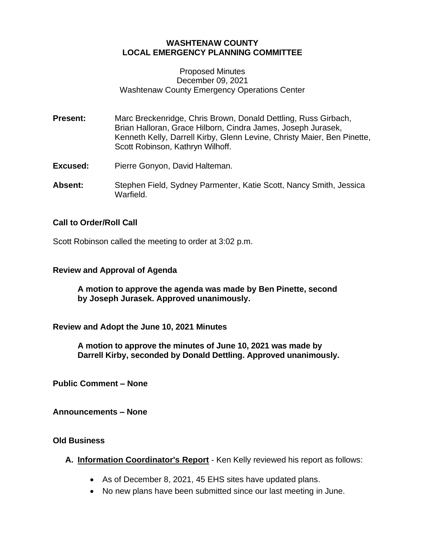# **WASHTENAW COUNTY LOCAL EMERGENCY PLANNING COMMITTEE**

#### Proposed Minutes December 09, 2021 Washtenaw County Emergency Operations Center

- **Present:** Marc Breckenridge, Chris Brown, Donald Dettling, Russ Girbach, Brian Halloran, Grace Hilborn, Cindra James, Joseph Jurasek, Kenneth Kelly, Darrell Kirby, Glenn Levine, Christy Maier, Ben Pinette, Scott Robinson, Kathryn Wilhoff.
- **Excused:** Pierre Gonyon, David Halteman.
- **Absent:** Stephen Field, Sydney Parmenter, Katie Scott, Nancy Smith, Jessica Warfield.

## **Call to Order/Roll Call**

Scott Robinson called the meeting to order at 3:02 p.m.

#### **Review and Approval of Agenda**

**A motion to approve the agenda was made by Ben Pinette, second by Joseph Jurasek. Approved unanimously.**

**Review and Adopt the June 10, 2021 Minutes**

**A motion to approve the minutes of June 10, 2021 was made by Darrell Kirby, seconded by Donald Dettling. Approved unanimously.**

**Public Comment – None**

**Announcements – None**

## **Old Business**

**A. Information Coordinator's Report** - Ken Kelly reviewed his report as follows:

- As of December 8, 2021, 45 EHS sites have updated plans.
- No new plans have been submitted since our last meeting in June.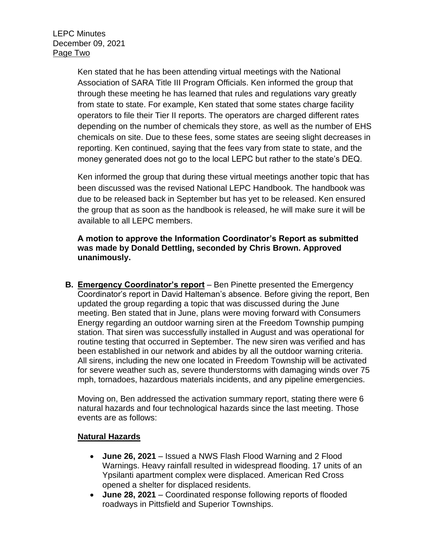Ken stated that he has been attending virtual meetings with the National Association of SARA Title III Program Officials. Ken informed the group that through these meeting he has learned that rules and regulations vary greatly from state to state. For example, Ken stated that some states charge facility operators to file their Tier II reports. The operators are charged different rates depending on the number of chemicals they store, as well as the number of EHS chemicals on site. Due to these fees, some states are seeing slight decreases in reporting. Ken continued, saying that the fees vary from state to state, and the money generated does not go to the local LEPC but rather to the state's DEQ.

Ken informed the group that during these virtual meetings another topic that has been discussed was the revised National LEPC Handbook. The handbook was due to be released back in September but has yet to be released. Ken ensured the group that as soon as the handbook is released, he will make sure it will be available to all LEPC members.

**A motion to approve the Information Coordinator's Report as submitted was made by Donald Dettling, seconded by Chris Brown. Approved unanimously.** 

**B. Emergency Coordinator's report** – Ben Pinette presented the Emergency Coordinator's report in David Halteman's absence. Before giving the report, Ben updated the group regarding a topic that was discussed during the June meeting. Ben stated that in June, plans were moving forward with Consumers Energy regarding an outdoor warning siren at the Freedom Township pumping station. That siren was successfully installed in August and was operational for routine testing that occurred in September. The new siren was verified and has been established in our network and abides by all the outdoor warning criteria. All sirens, including the new one located in Freedom Township will be activated for severe weather such as, severe thunderstorms with damaging winds over 75 mph, tornadoes, hazardous materials incidents, and any pipeline emergencies.

Moving on, Ben addressed the activation summary report, stating there were 6 natural hazards and four technological hazards since the last meeting. Those events are as follows:

## **Natural Hazards**

- **June 26, 2021** Issued a NWS Flash Flood Warning and 2 Flood Warnings. Heavy rainfall resulted in widespread flooding. 17 units of an Ypsilanti apartment complex were displaced. American Red Cross opened a shelter for displaced residents.
- **June 28, 2021** Coordinated response following reports of flooded roadways in Pittsfield and Superior Townships.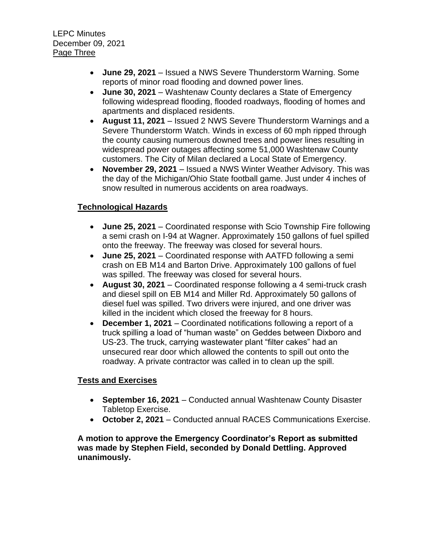- **June 29, 2021** Issued a NWS Severe Thunderstorm Warning. Some reports of minor road flooding and downed power lines.
- **June 30, 2021** Washtenaw County declares a State of Emergency following widespread flooding, flooded roadways, flooding of homes and apartments and displaced residents.
- **August 11, 2021** Issued 2 NWS Severe Thunderstorm Warnings and a Severe Thunderstorm Watch. Winds in excess of 60 mph ripped through the county causing numerous downed trees and power lines resulting in widespread power outages affecting some 51,000 Washtenaw County customers. The City of Milan declared a Local State of Emergency.
- **November 29, 2021**  Issued a NWS Winter Weather Advisory. This was the day of the Michigan/Ohio State football game. Just under 4 inches of snow resulted in numerous accidents on area roadways.

# **Technological Hazards**

- **June 25, 2021** Coordinated response with Scio Township Fire following a semi crash on I-94 at Wagner. Approximately 150 gallons of fuel spilled onto the freeway. The freeway was closed for several hours.
- **June 25, 2021** Coordinated response with AATFD following a semi crash on EB M14 and Barton Drive. Approximately 100 gallons of fuel was spilled. The freeway was closed for several hours.
- **August 30, 2021** Coordinated response following a 4 semi-truck crash and diesel spill on EB M14 and Miller Rd. Approximately 50 gallons of diesel fuel was spilled. Two drivers were injured, and one driver was killed in the incident which closed the freeway for 8 hours.
- **December 1, 2021** Coordinated notifications following a report of a truck spilling a load of "human waste" on Geddes between Dixboro and US-23. The truck, carrying wastewater plant "filter cakes" had an unsecured rear door which allowed the contents to spill out onto the roadway. A private contractor was called in to clean up the spill.

# **Tests and Exercises**

- **September 16, 2021** Conducted annual Washtenaw County Disaster Tabletop Exercise.
- **October 2, 2021** Conducted annual RACES Communications Exercise.

**A motion to approve the Emergency Coordinator's Report as submitted was made by Stephen Field, seconded by Donald Dettling. Approved unanimously.**